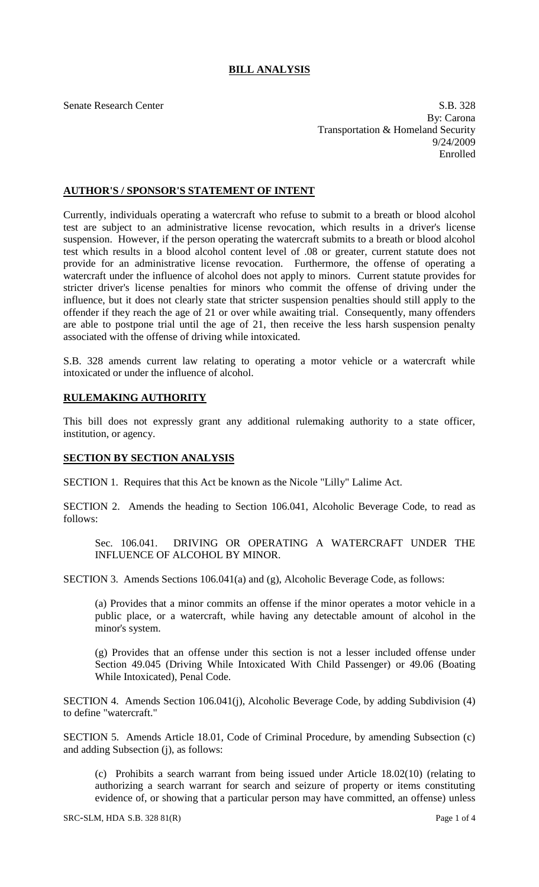## **BILL ANALYSIS**

Senate Research Center S.B. 328 By: Carona Transportation & Homeland Security 9/24/2009 Enrolled

## **AUTHOR'S / SPONSOR'S STATEMENT OF INTENT**

Currently, individuals operating a watercraft who refuse to submit to a breath or blood alcohol test are subject to an administrative license revocation, which results in a driver's license suspension. However, if the person operating the watercraft submits to a breath or blood alcohol test which results in a blood alcohol content level of .08 or greater, current statute does not provide for an administrative license revocation. Furthermore, the offense of operating a watercraft under the influence of alcohol does not apply to minors. Current statute provides for stricter driver's license penalties for minors who commit the offense of driving under the influence, but it does not clearly state that stricter suspension penalties should still apply to the offender if they reach the age of 21 or over while awaiting trial. Consequently, many offenders are able to postpone trial until the age of 21, then receive the less harsh suspension penalty associated with the offense of driving while intoxicated.

S.B. 328 amends current law relating to operating a motor vehicle or a watercraft while intoxicated or under the influence of alcohol.

## **RULEMAKING AUTHORITY**

This bill does not expressly grant any additional rulemaking authority to a state officer, institution, or agency.

## **SECTION BY SECTION ANALYSIS**

SECTION 1. Requires that this Act be known as the Nicole "Lilly" Lalime Act.

SECTION 2. Amends the heading to Section 106.041, Alcoholic Beverage Code, to read as follows:

Sec. 106.041. DRIVING OR OPERATING A WATERCRAFT UNDER THE INFLUENCE OF ALCOHOL BY MINOR.

SECTION 3. Amends Sections 106.041(a) and (g), Alcoholic Beverage Code, as follows:

(a) Provides that a minor commits an offense if the minor operates a motor vehicle in a public place, or a watercraft, while having any detectable amount of alcohol in the minor's system.

(g) Provides that an offense under this section is not a lesser included offense under Section 49.045 (Driving While Intoxicated With Child Passenger) or 49.06 (Boating While Intoxicated), Penal Code.

SECTION 4. Amends Section 106.041(j), Alcoholic Beverage Code, by adding Subdivision (4) to define "watercraft."

SECTION 5. Amends Article 18.01, Code of Criminal Procedure, by amending Subsection (c) and adding Subsection (j), as follows:

(c) Prohibits a search warrant from being issued under Article 18.02(10) (relating to authorizing a search warrant for search and seizure of property or items constituting evidence of, or showing that a particular person may have committed, an offense) unless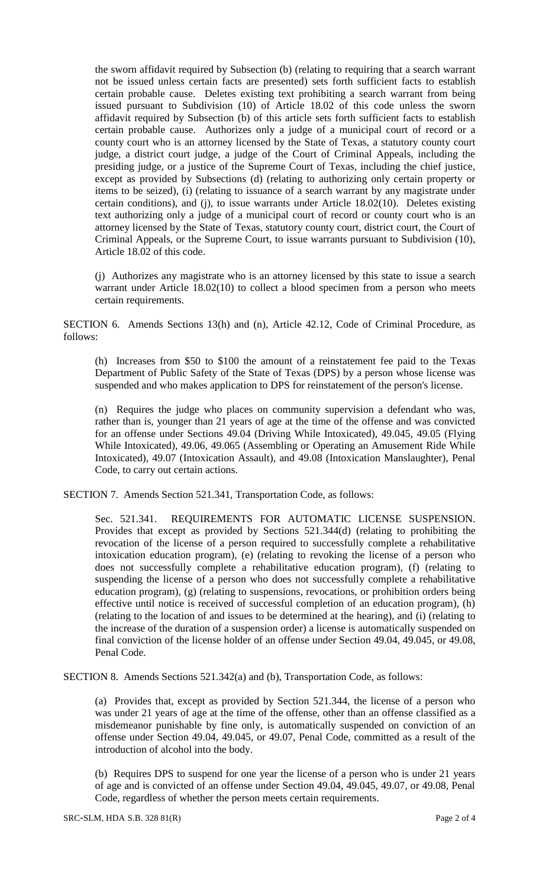the sworn affidavit required by Subsection (b) (relating to requiring that a search warrant not be issued unless certain facts are presented) sets forth sufficient facts to establish certain probable cause. Deletes existing text prohibiting a search warrant from being issued pursuant to Subdivision (10) of Article 18.02 of this code unless the sworn affidavit required by Subsection (b) of this article sets forth sufficient facts to establish certain probable cause. Authorizes only a judge of a municipal court of record or a county court who is an attorney licensed by the State of Texas, a statutory county court judge, a district court judge, a judge of the Court of Criminal Appeals, including the presiding judge, or a justice of the Supreme Court of Texas, including the chief justice, except as provided by Subsections (d) (relating to authorizing only certain property or items to be seized), (i) (relating to issuance of a search warrant by any magistrate under certain conditions), and (j), to issue warrants under Article 18.02(10). Deletes existing text authorizing only a judge of a municipal court of record or county court who is an attorney licensed by the State of Texas, statutory county court, district court, the Court of Criminal Appeals, or the Supreme Court, to issue warrants pursuant to Subdivision (10), Article 18.02 of this code.

(j) Authorizes any magistrate who is an attorney licensed by this state to issue a search warrant under Article 18.02(10) to collect a blood specimen from a person who meets certain requirements.

SECTION 6. Amends Sections 13(h) and (n), Article 42.12, Code of Criminal Procedure, as follows:

(h) Increases from \$50 to \$100 the amount of a reinstatement fee paid to the Texas Department of Public Safety of the State of Texas (DPS) by a person whose license was suspended and who makes application to DPS for reinstatement of the person's license.

(n) Requires the judge who places on community supervision a defendant who was, rather than is, younger than 21 years of age at the time of the offense and was convicted for an offense under Sections 49.04 (Driving While Intoxicated), 49.045, 49.05 (Flying While Intoxicated), 49.06, 49.065 (Assembling or Operating an Amusement Ride While Intoxicated), 49.07 (Intoxication Assault), and 49.08 (Intoxication Manslaughter), Penal Code, to carry out certain actions.

SECTION 7. Amends Section 521.341, Transportation Code, as follows:

Sec. 521.341. REQUIREMENTS FOR AUTOMATIC LICENSE SUSPENSION. Provides that except as provided by Sections 521.344(d) (relating to prohibiting the revocation of the license of a person required to successfully complete a rehabilitative intoxication education program), (e) (relating to revoking the license of a person who does not successfully complete a rehabilitative education program), (f) (relating to suspending the license of a person who does not successfully complete a rehabilitative education program), (g) (relating to suspensions, revocations, or prohibition orders being effective until notice is received of successful completion of an education program), (h) (relating to the location of and issues to be determined at the hearing), and (i) (relating to the increase of the duration of a suspension order) a license is automatically suspended on final conviction of the license holder of an offense under Section 49.04, 49.045, or 49.08, Penal Code.

SECTION 8. Amends Sections 521.342(a) and (b), Transportation Code, as follows:

(a) Provides that, except as provided by Section 521.344, the license of a person who was under 21 years of age at the time of the offense, other than an offense classified as a misdemeanor punishable by fine only, is automatically suspended on conviction of an offense under Section 49.04, 49.045, or 49.07, Penal Code, committed as a result of the introduction of alcohol into the body.

(b) Requires DPS to suspend for one year the license of a person who is under 21 years of age and is convicted of an offense under Section 49.04, 49.045, 49.07, or 49.08, Penal Code, regardless of whether the person meets certain requirements.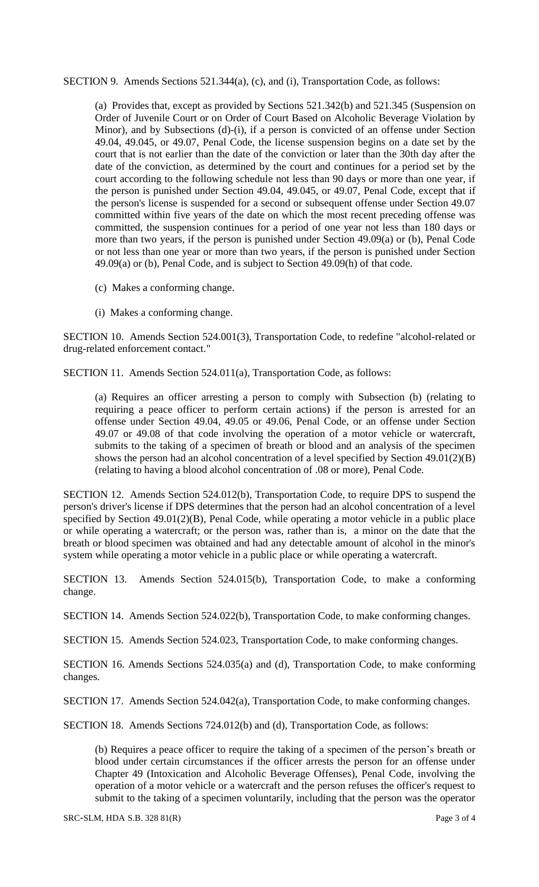SECTION 9. Amends Sections 521.344(a), (c), and (i), Transportation Code, as follows:

(a) Provides that, except as provided by Sections 521.342(b) and 521.345 (Suspension on Order of Juvenile Court or on Order of Court Based on Alcoholic Beverage Violation by Minor), and by Subsections (d)-(i), if a person is convicted of an offense under Section 49.04, 49.045, or 49.07, Penal Code, the license suspension begins on a date set by the court that is not earlier than the date of the conviction or later than the 30th day after the date of the conviction, as determined by the court and continues for a period set by the court according to the following schedule not less than 90 days or more than one year, if the person is punished under Section 49.04, 49.045, or 49.07, Penal Code, except that if the person's license is suspended for a second or subsequent offense under Section 49.07 committed within five years of the date on which the most recent preceding offense was committed, the suspension continues for a period of one year not less than 180 days or more than two years, if the person is punished under Section 49.09(a) or (b), Penal Code or not less than one year or more than two years, if the person is punished under Section 49.09(a) or (b), Penal Code, and is subject to Section 49.09(h) of that code.

- (c) Makes a conforming change.
- (i) Makes a conforming change.

SECTION 10. Amends Section 524.001(3), Transportation Code, to redefine "alcohol-related or drug-related enforcement contact."

SECTION 11. Amends Section 524.011(a), Transportation Code, as follows:

(a) Requires an officer arresting a person to comply with Subsection (b) (relating to requiring a peace officer to perform certain actions) if the person is arrested for an offense under Section 49.04, 49.05 or 49.06, Penal Code, or an offense under Section 49.07 or 49.08 of that code involving the operation of a motor vehicle or watercraft, submits to the taking of a specimen of breath or blood and an analysis of the specimen shows the person had an alcohol concentration of a level specified by Section 49.01(2)(B) (relating to having a blood alcohol concentration of .08 or more), Penal Code.

SECTION 12. Amends Section 524.012(b), Transportation Code, to require DPS to suspend the person's driver's license if DPS determines that the person had an alcohol concentration of a level specified by Section 49.01(2)(B), Penal Code, while operating a motor vehicle in a public place or while operating a watercraft; or the person was, rather than is, a minor on the date that the breath or blood specimen was obtained and had any detectable amount of alcohol in the minor's system while operating a motor vehicle in a public place or while operating a watercraft.

SECTION 13. Amends Section 524.015(b), Transportation Code, to make a conforming change.

SECTION 14. Amends Section 524.022(b), Transportation Code, to make conforming changes.

SECTION 15. Amends Section 524.023, Transportation Code, to make conforming changes.

SECTION 16. Amends Sections 524.035(a) and (d), Transportation Code, to make conforming changes.

SECTION 17. Amends Section 524.042(a), Transportation Code, to make conforming changes.

SECTION 18. Amends Sections 724.012(b) and (d), Transportation Code, as follows:

(b) Requires a peace officer to require the taking of a specimen of the person's breath or blood under certain circumstances if the officer arrests the person for an offense under Chapter 49 (Intoxication and Alcoholic Beverage Offenses), Penal Code, involving the operation of a motor vehicle or a watercraft and the person refuses the officer's request to submit to the taking of a specimen voluntarily, including that the person was the operator